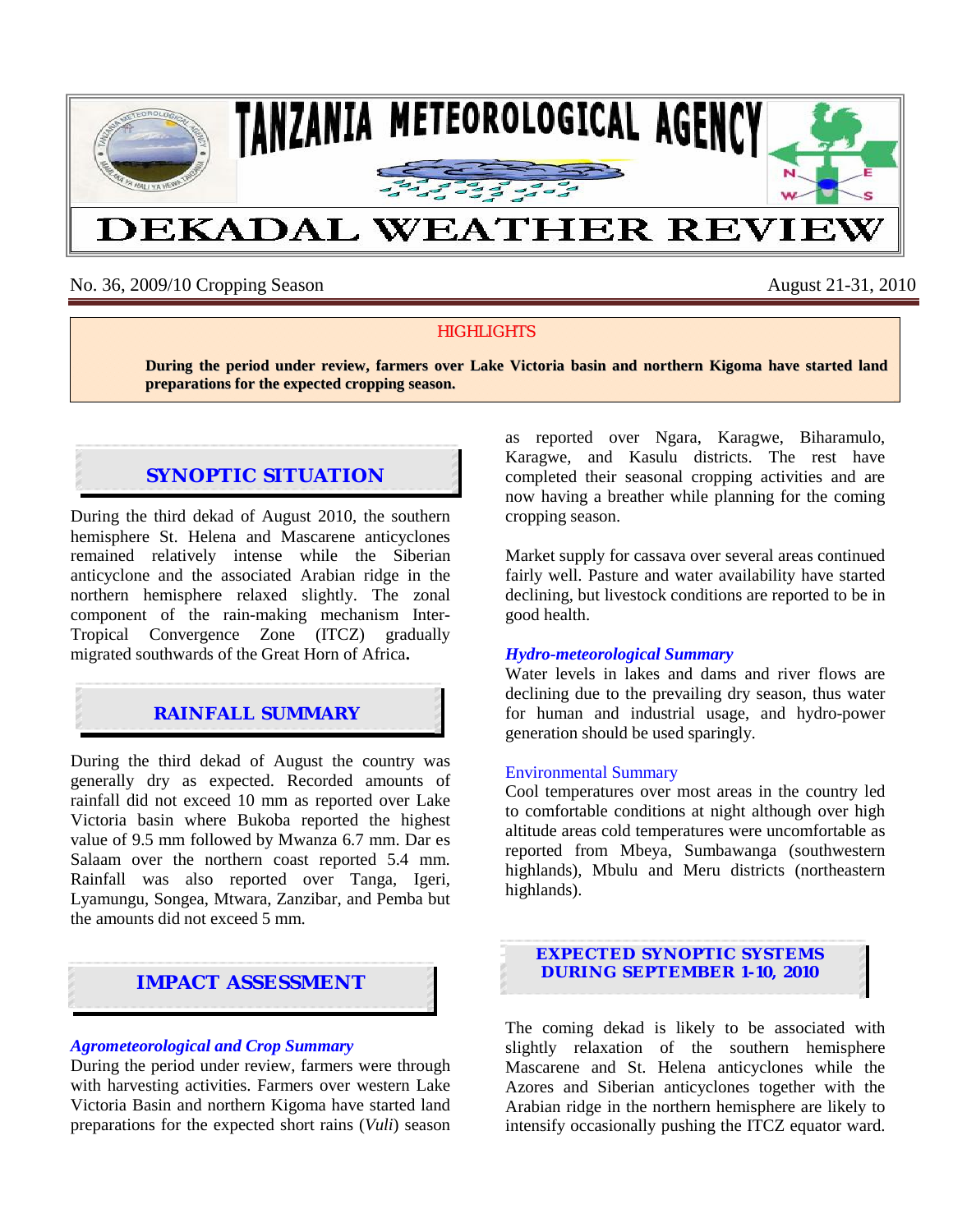

No. 36, 2009/10 Cropping Season August 21-31, 2010

### **HIGHLIGHTS**

**During the period under review, farmers over Lake Victoria basin and northern Kigoma have started land preparations for the expected cropping season.**

# **SYNOPTIC SITUATION**

During the third dekad of August 2010, the southern hemisphere St. Helena and Mascarene anticyclones remained relatively intense while the Siberian anticyclone and the associated Arabian ridge in the northern hemisphere relaxed slightly. The zonal component of the rain-making mechanism Inter-Tropical Convergence Zone (ITCZ) gradually migrated southwards of the Great Horn of Africa**.** 

## **RAINFALL SUMMARY**

During the third dekad of August the country was generally dry as expected. Recorded amounts of rainfall did not exceed 10 mm as reported over Lake Victoria basin where Bukoba reported the highest value of 9.5 mm followed by Mwanza 6.7 mm. Dar es Salaam over the northern coast reported 5.4 mm. Rainfall was also reported over Tanga, Igeri, Lyamungu, Songea, Mtwara, Zanzibar, and Pemba but the amounts did not exceed 5 mm.

### **IMPACT ASSESSMENT**

#### *Agrometeorological and Crop Summary*

During the period under review, farmers were through with harvesting activities. Farmers over western Lake Victoria Basin and northern Kigoma have started land preparations for the expected short rains (*Vuli*) season as reported over Ngara, Karagwe, Biharamulo, Karagwe, and Kasulu districts. The rest have completed their seasonal cropping activities and are now having a breather while planning for the coming cropping season.

Market supply for cassava over several areas continued fairly well. Pasture and water availability have started declining, but livestock conditions are reported to be in good health.

#### *Hydro-meteorological Summary*

Water levels in lakes and dams and river flows are declining due to the prevailing dry season, thus water for human and industrial usage, and hydro-power generation should be used sparingly.

#### Environmental Summary

Cool temperatures over most areas in the country led to comfortable conditions at night although over high altitude areas cold temperatures were uncomfortable as reported from Mbeya, Sumbawanga (southwestern highlands), Mbulu and Meru districts (northeastern highlands).

**EXPECTED SYNOPTIC SYSTEMS DURING SEPTEMBER 1-10, 2010**

The coming dekad is likely to be associated with slightly relaxation of the southern hemisphere Mascarene and St. Helena anticyclones while the Azores and Siberian anticyclones together with the Arabian ridge in the northern hemisphere are likely to intensify occasionally pushing the ITCZ equator ward.